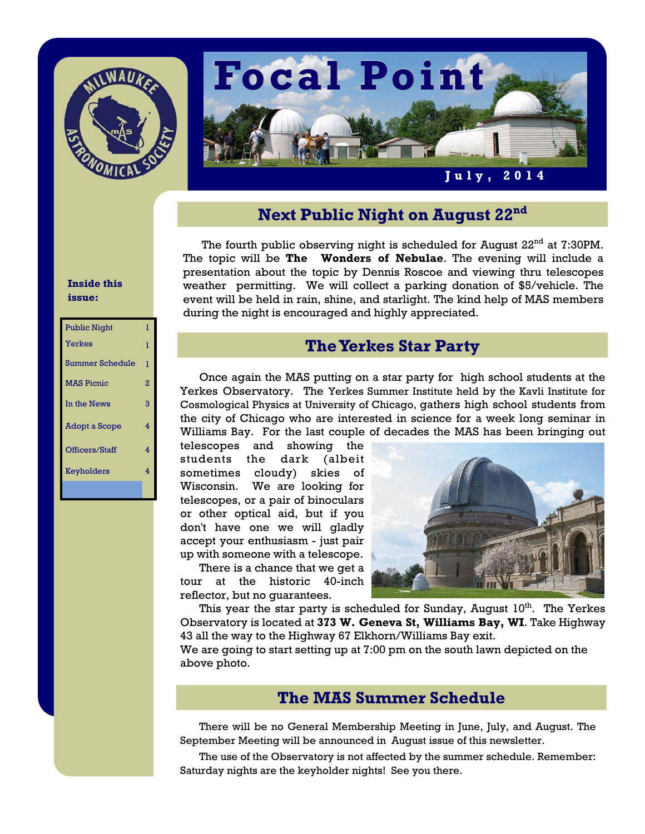



## **Next Public Night on August 22nd**

The fourth public observing night is scheduled for August  $22^{\rm nd}$  at 7:30PM. The topic will be **The Wonders of Nebulae**. The evening will include a presentation about the topic by Dennis Roscoe and viewing thru telescopes weather permitting. We will collect a parking donation of \$5/vehicle. The event will be held in rain, shine, and starlight. The kind help of MAS members during the night is encouraged and highly appreciated.

# **The Yerkes Star Party**

 Once again the MAS putting on a star party for high school students at the Yerkes Observatory. The Yerkes Summer Institute held by the Kavli Institute for Cosmological Physics at University of Chicago, gathers high school students from the city of Chicago who are interested in science for a week long seminar in Williams Bay. For the last couple of decades the MAS has been bringing out

telescopes and showing the students the dark (albeit sometimes cloudy) skies of Wisconsin. We are looking for telescopes, or a pair of binoculars or other optical aid, but if you don't have one we will gladly accept your enthusiasm - just pair up with someone with a telescope.

 There is a chance that we get a tour at the historic 40-inch reflector, but no guarantees.



This year the star party is scheduled for Sunday, August 10<sup>th</sup>. The Yerkes Observatory is located at **373 W. Geneva St, Williams Bay, WI**. Take Highway 43 all the way to the Highway 67 Elkhorn/Williams Bay exit.

We are going to start setting up at 7:00 pm on the south lawn depicted on the above photo.

## **The MAS Summer Schedule**

 There will be no General Membership Meeting in June, July, and August. The September Meeting will be announced in August issue of this newsletter.

 The use of the Observatory is not affected by the summer schedule. Remember: Saturday nights are the keyholder nights! See you there.

#### **Inside this issue:**

| <b>Public Night</b>    | ı |
|------------------------|---|
| <b>Yerkes</b>          | ı |
| <b>Summer Schedule</b> | ı |
| <b>MAS Picnic</b>      | 2 |
| In the News            | 3 |
| Adopt a Scope          | 4 |
| Officers/Staff         | 4 |
| Keyholders             | 4 |
|                        |   |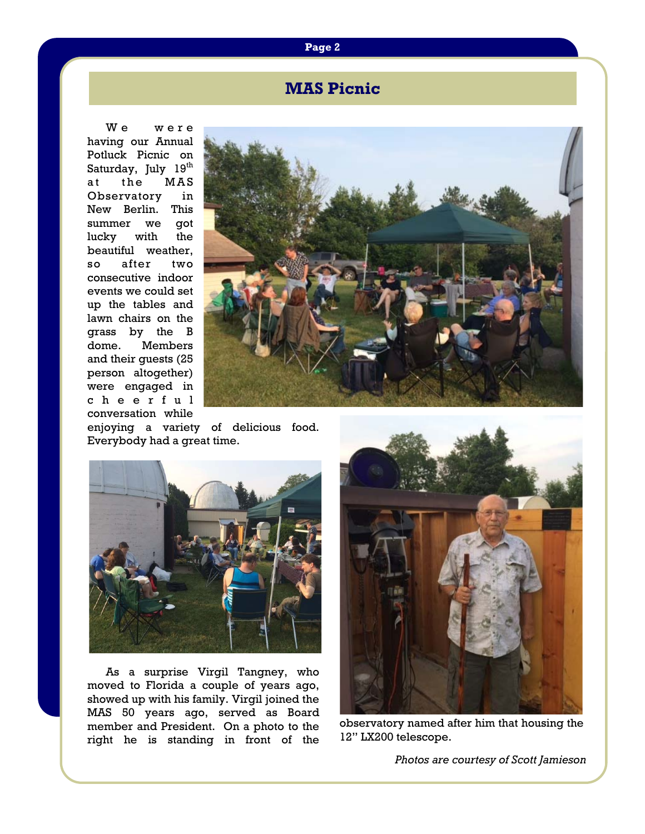## **MAS Picnic**

We were having our Annual Potluck Picnic on Saturday, July 19<sup>th</sup> at the MAS Observatory in New Berlin. This summer we got lucky with the beautiful weather, so after two consecutive indoor events we could set up the tables and lawn chairs on the grass by the B dome. Members and their guests (25 person altogether) were engaged in c h e e r f u l conversation while



enjoying a variety of delicious food. Everybody had a great time.



 As a surprise Virgil Tangney, who moved to Florida a couple of years ago, showed up with his family. Virgil joined the MAS 50 years ago, served as Board member and President. On a photo to the right he is standing in front of the



observatory named after him that housing the 12" LX200 telescope.

*Photos are courtesy of Scott Jamieson* 

#### **Page 2**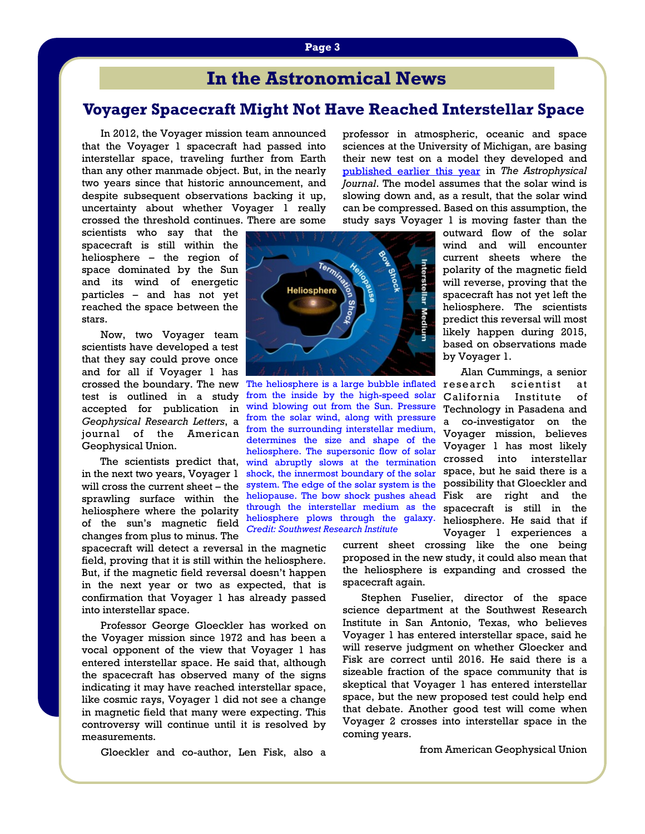## **In the Astronomical News**

### **Voyager Spacecraft Might Not Have Reached Interstellar Space**

 In 2012, the Voyager mission team announced that the Voyager 1 spacecraft had passed into interstellar space, traveling further from Earth than any other manmade object. But, in the nearly two years since that historic announcement, and despite subsequent observations backing it up, uncertainty about whether Voyager 1 really crossed the threshold continues. There are some

scientists who say that the spacecraft is still within the heliosphere – the region of space dominated by the Sun and its wind of energetic particles – and has not yet reached the space between the stars.

 Now, two Voyager team scientists have developed a test that they say could prove once and for all if Voyager 1 has crossed the boundary. The new test is outlined in a study accepted for publication in *Geophysical Research Letters*, a journal of the American Geophysical Union.

 The scientists predict that, in the next two years, Voyager 1 will cross the current sheet – the sprawling surface within the heliosphere where the polarity of the sun's magnetic field changes from plus to minus. The

spacecraft will detect a reversal in the magnetic field, proving that it is still within the heliosphere. But, if the magnetic field reversal doesn't happen in the next year or two as expected, that is confirmation that Voyager 1 has already passed into interstellar space.

 Professor George Gloeckler has worked on the Voyager mission since 1972 and has been a vocal opponent of the view that Voyager 1 has entered interstellar space. He said that, although the spacecraft has observed many of the signs indicating it may have reached interstellar space, like cosmic rays, Voyager 1 did not see a change in magnetic field that many were expecting. This controversy will continue until it is resolved by measurements.

Gloeckler and co-author, Len Fisk, also a

professor in atmospheric, oceanic and space sciences at the University of Michigan, are basing their new test on a model they developed and published earlier this year in *The Astrophysical Journal*. The model assumes that the solar wind is slowing down and, as a result, that the solar wind can be compressed. Based on this assumption, the study says Voyager 1 is moving faster than the



The heliosphere is a large bubble inflated research scientist at from the inside by the high-speed solar California Institute of heliopause. The bow shock pushes ahead Fisk are right and the heliosphere plows through the galaxy. heliosphere. He said that if wind blowing out from the Sun. Pressure from the solar wind, along with pressure from the surrounding interstellar medium, determines the size and shape of the heliosphere. The supersonic flow of solar wind abruptly slows at the termination shock, the innermost boundary of the solar system. The edge of the solar system is the through the interstellar medium as the *Credit: Southwest Research Institute*

outward flow of the solar wind and will encounter current sheets where the polarity of the magnetic field will reverse, proving that the spacecraft has not yet left the heliosphere. The scientists predict this reversal will most likely happen during 2015, based on observations made by Voyager 1.

 Alan Cummings, a senior Technology in Pasadena and a co-investigator on the Voyager mission, believes Voyager 1 has most likely crossed into interstellar space, but he said there is a possibility that Gloeckler and spacecraft is still in the Voyager 1 experiences a

current sheet crossing like the one being proposed in the new study, it could also mean that the heliosphere is expanding and crossed the spacecraft again.

 Stephen Fuselier, director of the space science department at the Southwest Research Institute in San Antonio, Texas, who believes Voyager 1 has entered interstellar space, said he will reserve judgment on whether Gloecker and Fisk are correct until 2016. He said there is a sizeable fraction of the space community that is skeptical that Voyager 1 has entered interstellar space, but the new proposed test could help end that debate. Another good test will come when Voyager 2 crosses into interstellar space in the coming years.

from American Geophysical Union

#### **Page 3**